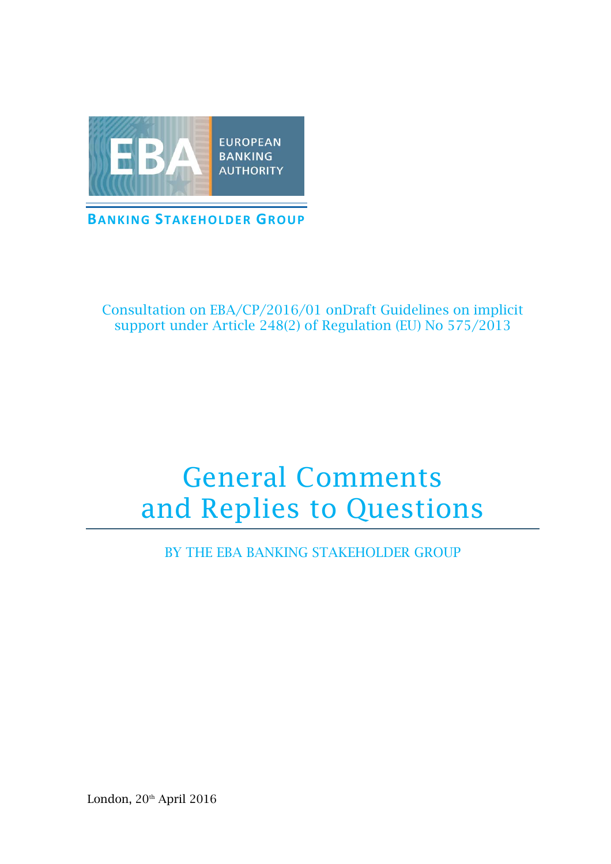

Consultation on EBA/CP/2016/01 onDraft Guidelines on implicit support under Article 248(2) of Regulation (EU) No 575/2013

# General Comments and Replies to Questions

BY THE EBA BANKING STAKEHOLDER GROUP

London, 20<sup>th</sup> April 2016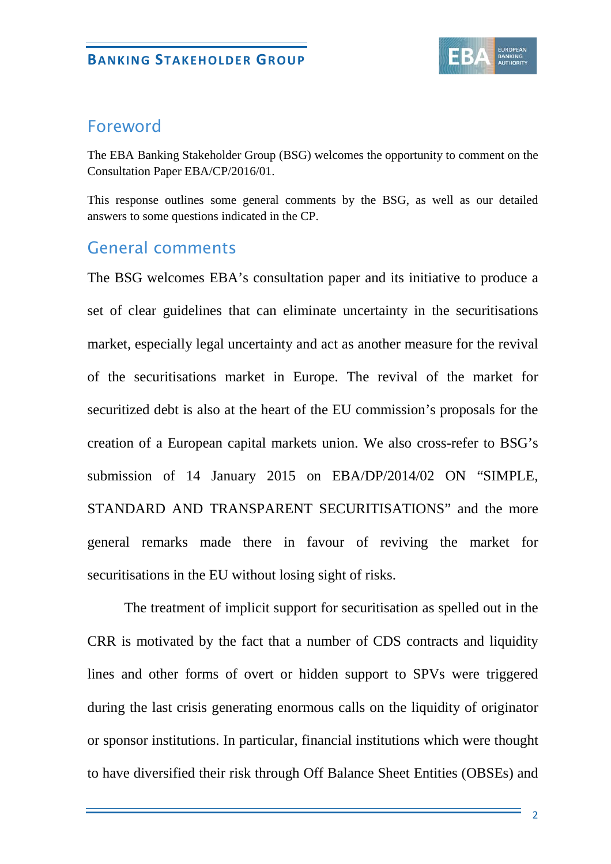

## Foreword

The EBA Banking Stakeholder Group (BSG) welcomes the opportunity to comment on the Consultation Paper EBA/CP/2016/01.

This response outlines some general comments by the BSG, as well as our detailed answers to some questions indicated in the CP.

# General comments

The BSG welcomes EBA's consultation paper and its initiative to produce a set of clear guidelines that can eliminate uncertainty in the securitisations market, especially legal uncertainty and act as another measure for the revival of the securitisations market in Europe. The revival of the market for securitized debt is also at the heart of the EU commission's proposals for the creation of a European capital markets union. We also cross-refer to BSG's submission of 14 January 2015 on EBA/DP/2014/02 ON "SIMPLE, STANDARD AND TRANSPARENT SECURITISATIONS" and the more general remarks made there in favour of reviving the market for securitisations in the EU without losing sight of risks.

The treatment of implicit support for securitisation as spelled out in the CRR is motivated by the fact that a number of CDS contracts and liquidity lines and other forms of overt or hidden support to SPVs were triggered during the last crisis generating enormous calls on the liquidity of originator or sponsor institutions. In particular, financial institutions which were thought to have diversified their risk through Off Balance Sheet Entities (OBSEs) and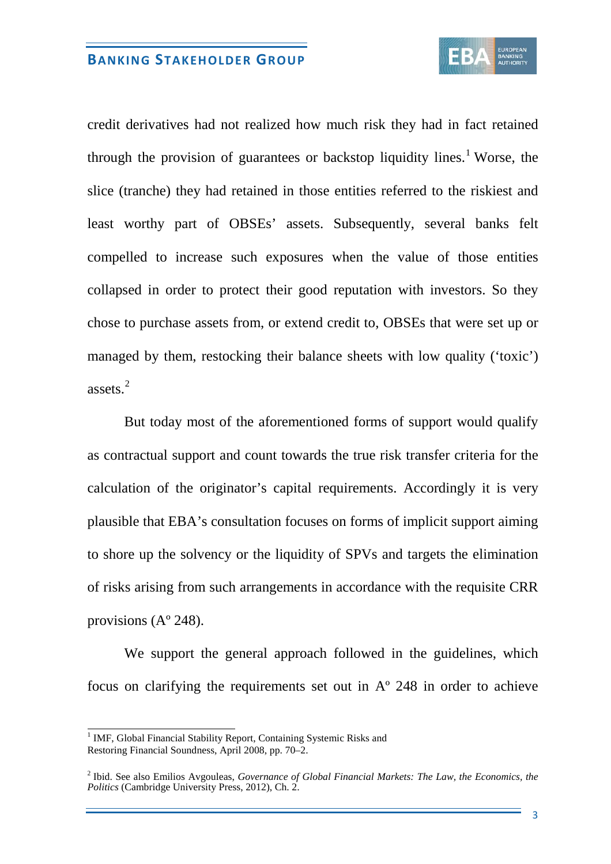

credit derivatives had not realized how much risk they had in fact retained through the provision of guarantees or backstop liquidity lines.<sup>[1](#page-2-0)</sup> Worse, the slice (tranche) they had retained in those entities referred to the riskiest and least worthy part of OBSEs' assets. Subsequently, several banks felt compelled to increase such exposures when the value of those entities collapsed in order to protect their good reputation with investors. So they chose to purchase assets from, or extend credit to, OBSEs that were set up or managed by them, restocking their balance sheets with low quality ('toxic') assets.[2](#page-2-1)

But today most of the aforementioned forms of support would qualify as contractual support and count towards the true risk transfer criteria for the calculation of the originator's capital requirements. Accordingly it is very plausible that EBA's consultation focuses on forms of implicit support aiming to shore up the solvency or the liquidity of SPVs and targets the elimination of risks arising from such arrangements in accordance with the requisite CRR provisions (Aº 248).

We support the general approach followed in the guidelines, which focus on clarifying the requirements set out in Aº 248 in order to achieve

<span id="page-2-0"></span><sup>&</sup>lt;sup>1</sup> IMF, Global Financial Stability Report, Containing Systemic Risks and Restoring Financial Soundness, April 2008, pp. 70–2.

<span id="page-2-1"></span><sup>2</sup> Ibid. See also Emilios Avgouleas, *Governance of Global Financial Markets: The Law, the Economics, the Politics* (Cambridge University Press, 2012), Ch. 2.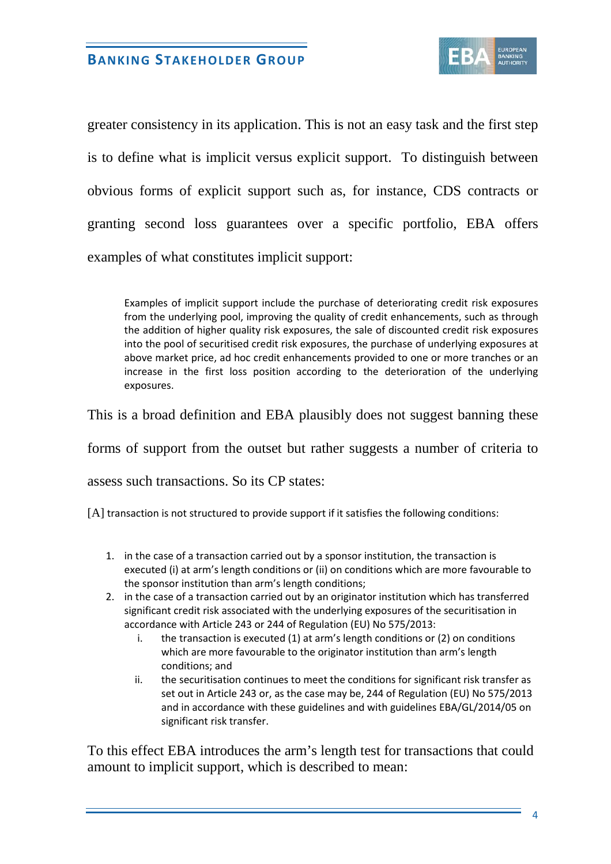

greater consistency in its application. This is not an easy task and the first step is to define what is implicit versus explicit support. To distinguish between obvious forms of explicit support such as, for instance, CDS contracts or granting second loss guarantees over a specific portfolio, EBA offers examples of what constitutes implicit support:

Examples of implicit support include the purchase of deteriorating credit risk exposures from the underlying pool, improving the quality of credit enhancements, such as through the addition of higher quality risk exposures, the sale of discounted credit risk exposures into the pool of securitised credit risk exposures, the purchase of underlying exposures at above market price, ad hoc credit enhancements provided to one or more tranches or an increase in the first loss position according to the deterioration of the underlying exposures.

This is a broad definition and EBA plausibly does not suggest banning these

forms of support from the outset but rather suggests a number of criteria to

assess such transactions. So its CP states:

[A] transaction is not structured to provide support if it satisfies the following conditions:

- 1. in the case of a transaction carried out by a sponsor institution, the transaction is executed (i) at arm's length conditions or (ii) on conditions which are more favourable to the sponsor institution than arm's length conditions;
- 2. in the case of a transaction carried out by an originator institution which has transferred significant credit risk associated with the underlying exposures of the securitisation in accordance with Article 243 or 244 of Regulation (EU) No 575/2013:
	- i. the transaction is executed (1) at arm's length conditions or (2) on conditions which are more favourable to the originator institution than arm's length conditions; and
	- ii. the securitisation continues to meet the conditions for significant risk transfer as set out in Article 243 or, as the case may be, 244 of Regulation (EU) No 575/2013 and in accordance with these guidelines and with guidelines EBA/GL/2014/05 on significant risk transfer.

To this effect EBA introduces the arm's length test for transactions that could amount to implicit support, which is described to mean: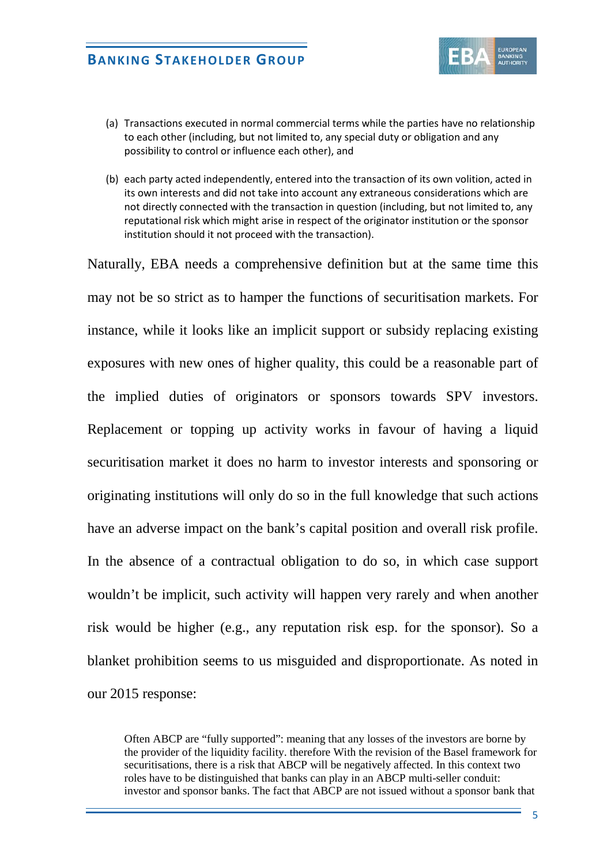

- (a) Transactions executed in normal commercial terms while the parties have no relationship to each other (including, but not limited to, any special duty or obligation and any possibility to control or influence each other), and
- (b) each party acted independently, entered into the transaction of its own volition, acted in its own interests and did not take into account any extraneous considerations which are not directly connected with the transaction in question (including, but not limited to, any reputational risk which might arise in respect of the originator institution or the sponsor institution should it not proceed with the transaction).

Naturally, EBA needs a comprehensive definition but at the same time this may not be so strict as to hamper the functions of securitisation markets. For instance, while it looks like an implicit support or subsidy replacing existing exposures with new ones of higher quality, this could be a reasonable part of the implied duties of originators or sponsors towards SPV investors. Replacement or topping up activity works in favour of having a liquid securitisation market it does no harm to investor interests and sponsoring or originating institutions will only do so in the full knowledge that such actions have an adverse impact on the bank's capital position and overall risk profile. In the absence of a contractual obligation to do so, in which case support wouldn't be implicit, such activity will happen very rarely and when another risk would be higher (e.g., any reputation risk esp. for the sponsor). So a blanket prohibition seems to us misguided and disproportionate. As noted in our 2015 response:

Often ABCP are "fully supported": meaning that any losses of the investors are borne by the provider of the liquidity facility. therefore With the revision of the Basel framework for securitisations, there is a risk that ABCP will be negatively affected. In this context two roles have to be distinguished that banks can play in an ABCP multi-seller conduit: investor and sponsor banks. The fact that ABCP are not issued without a sponsor bank that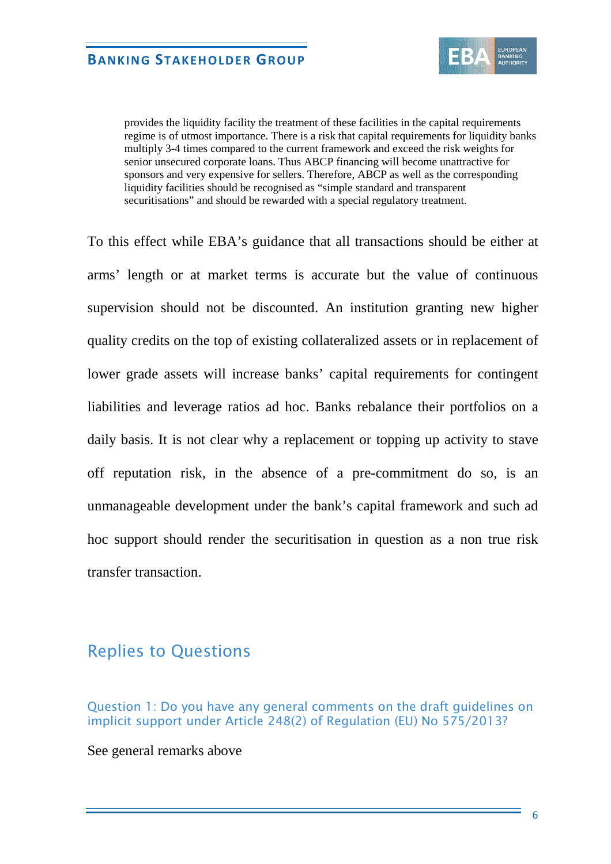

provides the liquidity facility the treatment of these facilities in the capital requirements regime is of utmost importance. There is a risk that capital requirements for liquidity banks multiply 3-4 times compared to the current framework and exceed the risk weights for senior unsecured corporate loans. Thus ABCP financing will become unattractive for sponsors and very expensive for sellers. Therefore, ABCP as well as the corresponding liquidity facilities should be recognised as "simple standard and transparent securitisations" and should be rewarded with a special regulatory treatment.

To this effect while EBA's guidance that all transactions should be either at arms' length or at market terms is accurate but the value of continuous supervision should not be discounted. An institution granting new higher quality credits on the top of existing collateralized assets or in replacement of lower grade assets will increase banks' capital requirements for contingent liabilities and leverage ratios ad hoc. Banks rebalance their portfolios on a daily basis. It is not clear why a replacement or topping up activity to stave off reputation risk, in the absence of a pre-commitment do so, is an unmanageable development under the bank's capital framework and such ad hoc support should render the securitisation in question as a non true risk transfer transaction.

## Replies to Questions

Question 1: Do you have any general comments on the draft guidelines on implicit support under Article 248(2) of Regulation (EU) No 575/2013?

See general remarks above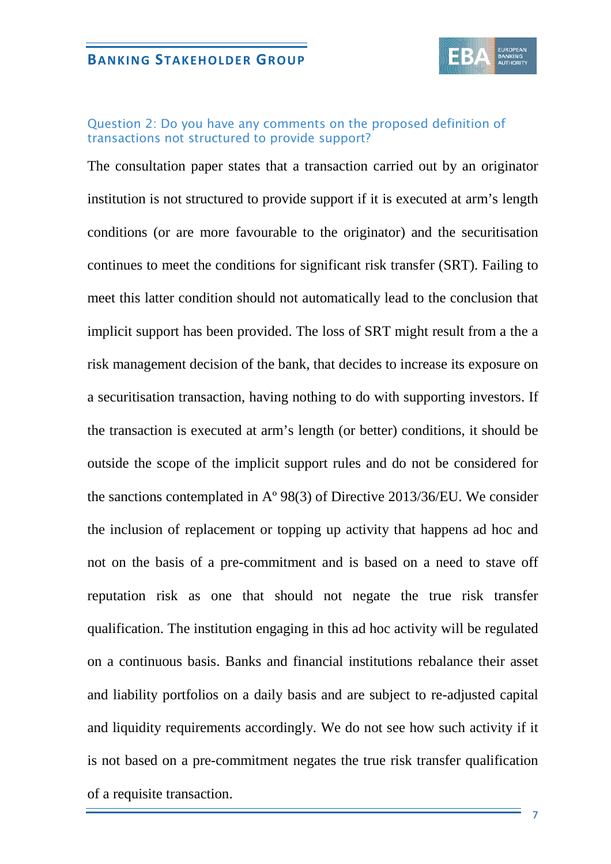

#### Question 2: Do you have any comments on the proposed definition of transactions not structured to provide support?

The consultation paper states that a transaction carried out by an originator institution is not structured to provide support if it is executed at arm's length conditions (or are more favourable to the originator) and the securitisation continues to meet the conditions for significant risk transfer (SRT). Failing to meet this latter condition should not automatically lead to the conclusion that implicit support has been provided. The loss of SRT might result from a the a risk management decision of the bank, that decides to increase its exposure on a securitisation transaction, having nothing to do with supporting investors. If the transaction is executed at arm's length (or better) conditions, it should be outside the scope of the implicit support rules and do not be considered for the sanctions contemplated in Aº 98(3) of Directive 2013/36/EU. We consider the inclusion of replacement or topping up activity that happens ad hoc and not on the basis of a pre-commitment and is based on a need to stave off reputation risk as one that should not negate the true risk transfer qualification. The institution engaging in this ad hoc activity will be regulated on a continuous basis. Banks and financial institutions rebalance their asset and liability portfolios on a daily basis and are subject to re-adjusted capital and liquidity requirements accordingly. We do not see how such activity if it is not based on a pre-commitment negates the true risk transfer qualification of a requisite transaction.